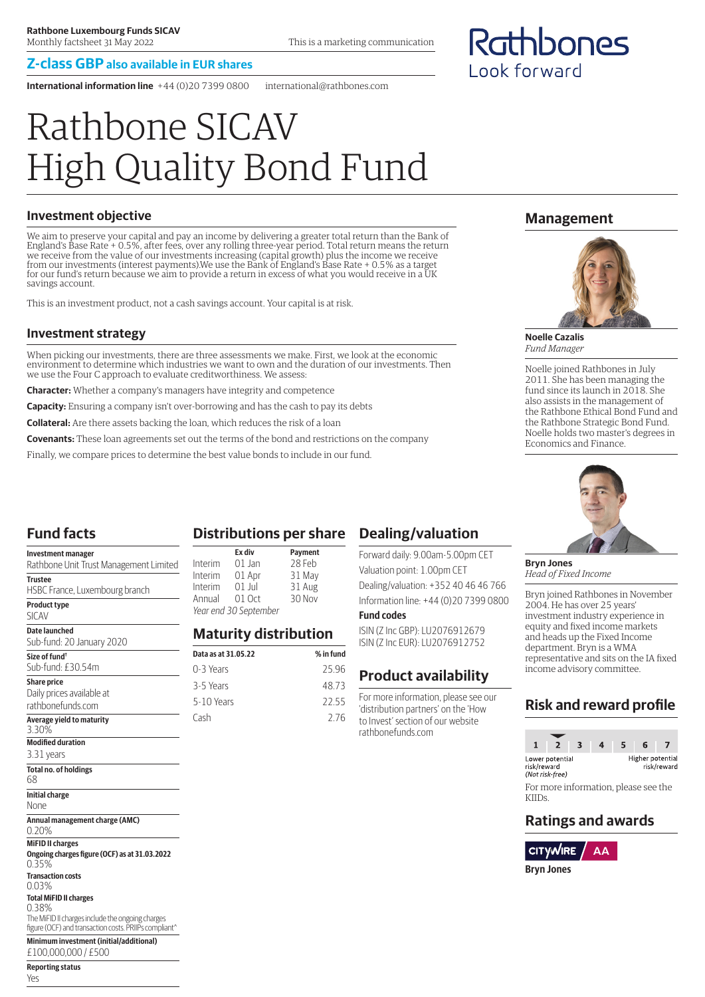#### **Z-class GBP also available in EUR shares**

**International information line** +44 (0)20 7399 0800 international@rathbones.com

# Rathbone SICAV High Quality Bond Fund

#### **Investment objective**

We aim to preserve your capital and pay an income by delivering a greater total return than the Bank of England's Base Rate + 0.5%, after fees, over any rolling three-year period. Total return means the return we receive from the value of our investments increasing (capital growth) plus the income we receive from our investments (interest payments).We use the Bank of England's Base Rate + 0.5% as a target for our fund's return because we aim to provide a return in excess of what you would receive in a UK savings account.

This is an investment product, not a cash savings account. Your capital is at risk.

#### **Investment strategy**

When picking our investments, there are three assessments we make. First, we look at the economic environment to determine which industries we want to own and the duration of our investments. Then we use the Four C approach to evaluate creditworthiness. We assess:

**Character:** Whether a company's managers have integrity and competence

**Capacity:** Ensuring a company isn't over-borrowing and has the cash to pay its debts

**Collateral:** Are there assets backing the loan, which reduces the risk of a loan

**Covenants:** These loan agreements set out the terms of the bond and restrictions on the company

Finally, we compare prices to determine the best value bonds to include in our fund.

# **Fund facts**

Yes

| <b>Investment manager</b><br>Rathbone Unit Trust Management Limited                                                | Inter          |
|--------------------------------------------------------------------------------------------------------------------|----------------|
| <b>Trustee</b>                                                                                                     | Inter<br>Inter |
| HSBC France, Luxembourg branch                                                                                     | Annı           |
| <b>Product type</b><br><b>SICAV</b>                                                                                | Year           |
| Date launched<br>Sub-fund: 20 January 2020                                                                         | Мa             |
| Size of fund <sup>†</sup>                                                                                          | Data a         |
| Sub-fund: £30.54m                                                                                                  | $0 - 3$        |
| <b>Share price</b>                                                                                                 | $3 - 5$        |
| Daily prices available at                                                                                          |                |
| rathbonefunds.com                                                                                                  | $5 - 10$       |
| Average yield to maturity<br>3.30%                                                                                 | Cash           |
| <b>Modified duration</b>                                                                                           |                |
| 3.31 years                                                                                                         |                |
| <b>Total no. of holdings</b><br>68                                                                                 |                |
| <b>Initial charge</b><br>None                                                                                      |                |
| Annual management charge (AMC)<br>0.20%                                                                            |                |
| <b>MiFID II charges</b>                                                                                            |                |
| Ongoing charges figure (OCF) as at 31.03.2022<br>0.35%                                                             |                |
| <b>Transaction costs</b><br>0.03%                                                                                  |                |
| <b>Total MiFID II charges</b>                                                                                      |                |
| 0.38%<br>The MiFID II charges include the ongoing charges<br>figure (OCF) and transaction costs. PRIIPs compliant^ |                |
| Minimum investment (initial/additional)<br>£100.000.000 / £500                                                     |                |
| <b>Reporting status</b>                                                                                            |                |

# **Distributions per share**

|                       | Ex div   | <b>Payment</b> |
|-----------------------|----------|----------------|
| Interim               | 01 Jan   | 28 Feb         |
| Interim               | 01 Apr   | 31 May         |
| Interim               | $01$ lul | 31 Aug         |
| Annual                | $01$ Oct | 30 Nov         |
| Year end 30 September |          |                |

#### **Maturity distribution**

| Data as at 31.05.22 | % in fund |
|---------------------|-----------|
| 0-3 Years           | 2596      |
| 3-5 Years           | 4873      |
| $5-10$ Years        | 22.55     |
| Cash                | 276       |
|                     |           |

# **Dealing/valuation**

Forward daily: 9.00am-5.00pm CET Valuation point: 1.00pm CET Dealing/valuation: +352 40 46 46 766 Information line: +44 (0)20 7399 0800 **Fund codes**

ISIN (Z Inc GBP): LU2076912679 ISIN (Z Inc EUR): LU2076912752

#### **Product availability**

For more information, please see our 'distribution partners' on the 'How to Invest' section of our website rathbonefunds.com

**Management**

Rathbones

Look forward



**Noelle Cazalis** *Fund Manager*

Noelle joined Rathbones in July 2011. She has been managing the fund since its launch in 2018. She also assists in the management of the Rathbone Ethical Bond Fund and the Rathbone Strategic Bond Fund. Noelle holds two master's degrees in Economics and Finance.



**Bryn Jones** *Head of Fixed Income*

Bryn joined Rathbones in November 2004. He has over 25 years' investment industry experience in equity and fixed income markets and heads up the Fixed Income department. Bryn is a WMA representative and sits on the IA fixed income advisory committee.

# **Risk and reward profile**

|                                                   |  |                                      | 6                |             |
|---------------------------------------------------|--|--------------------------------------|------------------|-------------|
| Lower potential<br>risk/reward<br>(Not risk-free) |  |                                      | Higher potential | risk/reward |
|                                                   |  | For more information, please soo the |                  |             |

For more information, please see the KIIDs.

# **Ratings and awards**